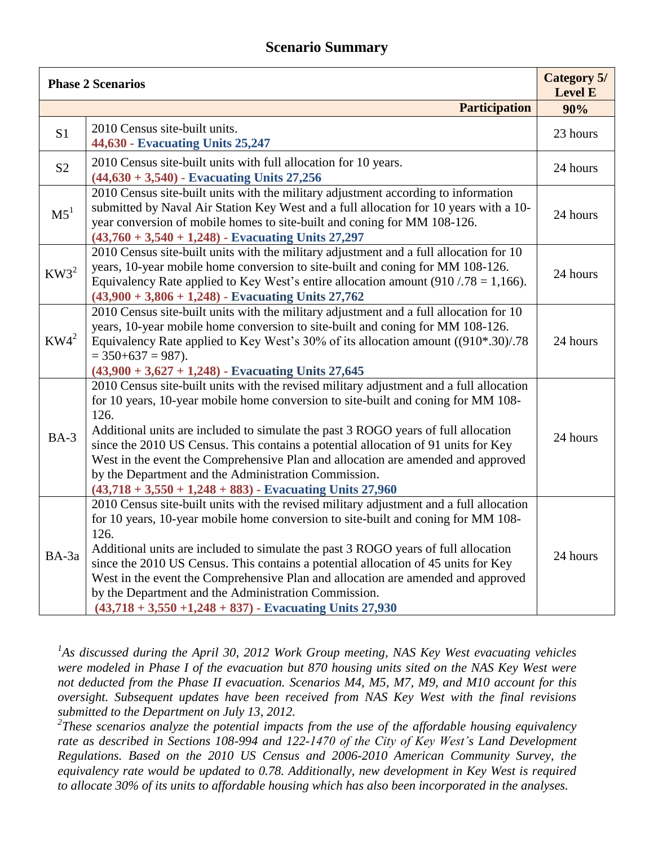## **Scenario Summary**

| <b>Phase 2 Scenarios</b> |                                                                                                                                                                                                                                                                                                                                                                                                                                                                                                                                                                            | <b>Category 5/</b><br><b>Level E</b> |
|--------------------------|----------------------------------------------------------------------------------------------------------------------------------------------------------------------------------------------------------------------------------------------------------------------------------------------------------------------------------------------------------------------------------------------------------------------------------------------------------------------------------------------------------------------------------------------------------------------------|--------------------------------------|
|                          | <b>Participation</b>                                                                                                                                                                                                                                                                                                                                                                                                                                                                                                                                                       | 90%                                  |
| S <sub>1</sub>           | 2010 Census site-built units.<br>44,630 - Evacuating Units 25,247                                                                                                                                                                                                                                                                                                                                                                                                                                                                                                          | 23 hours                             |
| S <sub>2</sub>           | 2010 Census site-built units with full allocation for 10 years.<br>$(44,630 + 3,540)$ - Evacuating Units 27,256                                                                                                                                                                                                                                                                                                                                                                                                                                                            | 24 hours                             |
| M5 <sup>1</sup>          | 2010 Census site-built units with the military adjustment according to information<br>submitted by Naval Air Station Key West and a full allocation for 10 years with a 10-<br>year conversion of mobile homes to site-built and coning for MM 108-126.<br>$(43,760 + 3,540 + 1,248)$ - Evacuating Units 27,297                                                                                                                                                                                                                                                            | 24 hours                             |
| $KW3^2$                  | 2010 Census site-built units with the military adjustment and a full allocation for 10<br>years, 10-year mobile home conversion to site-built and coning for MM 108-126.<br>Equivalency Rate applied to Key West's entire allocation amount $(910 / 78 = 1,166)$ .<br>$(43,900 + 3,806 + 1,248)$ - Evacuating Units 27,762                                                                                                                                                                                                                                                 | 24 hours                             |
| $KW4^2$                  | 2010 Census site-built units with the military adjustment and a full allocation for 10<br>years, 10-year mobile home conversion to site-built and coning for MM 108-126.<br>Equivalency Rate applied to Key West's 30% of its allocation amount ((910*.30)/.78<br>$=$ 350+637 = 987).<br>$(43,900 + 3,627 + 1,248)$ - Evacuating Units 27,645                                                                                                                                                                                                                              | 24 hours                             |
| $BA-3$                   | 2010 Census site-built units with the revised military adjustment and a full allocation<br>for 10 years, 10-year mobile home conversion to site-built and coning for MM 108-<br>126.<br>Additional units are included to simulate the past 3 ROGO years of full allocation<br>since the 2010 US Census. This contains a potential allocation of 91 units for Key<br>West in the event the Comprehensive Plan and allocation are amended and approved<br>by the Department and the Administration Commission.<br>$(43,718 + 3,550 + 1,248 + 883)$ - Evacuating Units 27,960 | 24 hours                             |
| BA-3a                    | 2010 Census site-built units with the revised military adjustment and a full allocation<br>for 10 years, 10-year mobile home conversion to site-built and coning for MM 108-<br>126.<br>Additional units are included to simulate the past 3 ROGO years of full allocation<br>since the 2010 US Census. This contains a potential allocation of 45 units for Key<br>West in the event the Comprehensive Plan and allocation are amended and approved<br>by the Department and the Administration Commission.<br>$(43,718 + 3,550 + 1,248 + 837)$ - Evacuating Units 27,930 | 24 hours                             |

*1 As discussed during the April 30, 2012 Work Group meeting, NAS Key West evacuating vehicles were modeled in Phase I of the evacuation but 870 housing units sited on the NAS Key West were not deducted from the Phase II evacuation. Scenarios M4, M5, M7, M9, and M10 account for this oversight. Subsequent updates have been received from NAS Key West with the final revisions submitted to the Department on July 13, 2012.* 

*2 These scenarios analyze the potential impacts from the use of the affordable housing equivalency rate as described in Sections 108-994 and 122-1470 of the City of Key West's Land Development Regulations. Based on the 2010 US Census and 2006-2010 American Community Survey, the equivalency rate would be updated to 0.78. Additionally, new development in Key West is required to allocate 30% of its units to affordable housing which has also been incorporated in the analyses.*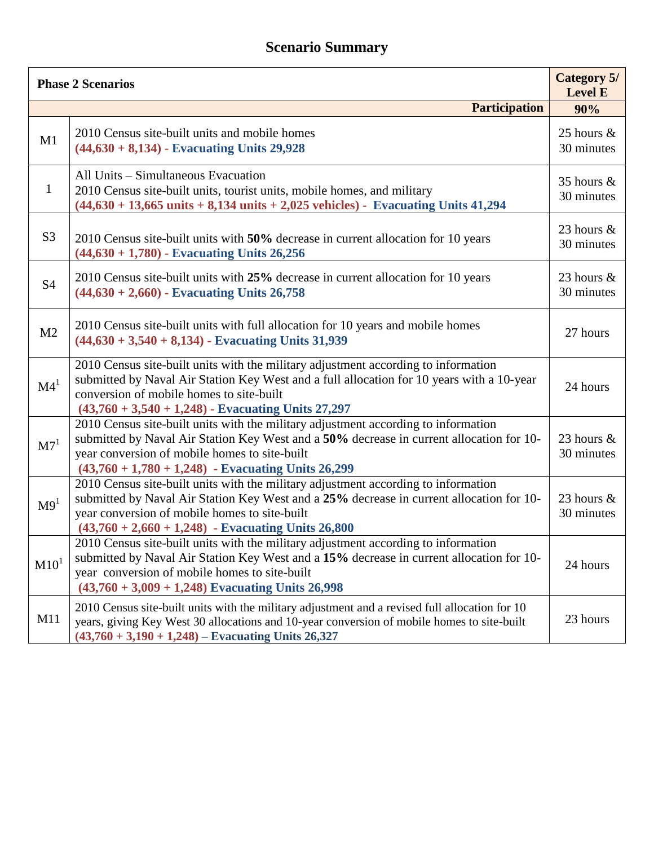## **Scenario Summary**

| <b>Phase 2 Scenarios</b> |                                                                                                                                                                                                                                                                                         |                             |
|--------------------------|-----------------------------------------------------------------------------------------------------------------------------------------------------------------------------------------------------------------------------------------------------------------------------------------|-----------------------------|
|                          | <b>Participation</b>                                                                                                                                                                                                                                                                    | 90%                         |
| M1                       | 2010 Census site-built units and mobile homes<br>$(44,630 + 8,134)$ - Evacuating Units 29,928                                                                                                                                                                                           | 25 hours $\&$<br>30 minutes |
| $\mathbf{1}$             | All Units - Simultaneous Evacuation<br>2010 Census site-built units, tourist units, mobile homes, and military<br>$(44,630 + 13,665 \text{ units} + 8,134 \text{ units} + 2,025 \text{ vehicles})$ - Evacuating Units 41,294                                                            | 35 hours &<br>30 minutes    |
| S <sub>3</sub>           | 2010 Census site-built units with 50% decrease in current allocation for 10 years<br>$(44,630 + 1,780)$ - Evacuating Units 26,256                                                                                                                                                       | 23 hours $\&$<br>30 minutes |
| <b>S4</b>                | 2010 Census site-built units with 25% decrease in current allocation for 10 years<br>$(44,630 + 2,660)$ - Evacuating Units 26,758                                                                                                                                                       | 23 hours $\&$<br>30 minutes |
| M <sub>2</sub>           | 2010 Census site-built units with full allocation for 10 years and mobile homes<br>$(44,630 + 3,540 + 8,134)$ - Evacuating Units 31,939                                                                                                                                                 | 27 hours                    |
| $\mathbf{M}4^1$          | 2010 Census site-built units with the military adjustment according to information<br>submitted by Naval Air Station Key West and a full allocation for 10 years with a 10-year<br>conversion of mobile homes to site-built<br>$(43,760 + 3,540 + 1,248)$ - Evacuating Units 27,297     | 24 hours                    |
| M7 <sup>1</sup>          | 2010 Census site-built units with the military adjustment according to information<br>submitted by Naval Air Station Key West and a 50% decrease in current allocation for 10-<br>year conversion of mobile homes to site-built<br>$(43,760 + 1,780 + 1,248)$ - Evacuating Units 26,299 | 23 hours &<br>30 minutes    |
| M9 <sup>1</sup>          | 2010 Census site-built units with the military adjustment according to information<br>submitted by Naval Air Station Key West and a 25% decrease in current allocation for 10-<br>year conversion of mobile homes to site-built<br>$(43,760 + 2,660 + 1,248)$ - Evacuating Units 26,800 | 23 hours $\&$<br>30 minutes |
| M10 <sup>1</sup>         | 2010 Census site-built units with the military adjustment according to information<br>submitted by Naval Air Station Key West and a 15% decrease in current allocation for 10-<br>year conversion of mobile homes to site-built<br>$(43,760 + 3,009 + 1,248)$ Evacuating Units 26,998   | 24 hours                    |
| M11                      | 2010 Census site-built units with the military adjustment and a revised full allocation for 10<br>years, giving Key West 30 allocations and 10-year conversion of mobile homes to site-built<br>$(43,760 + 3,190 + 1,248)$ – Evacuating Units 26,327                                    | 23 hours                    |